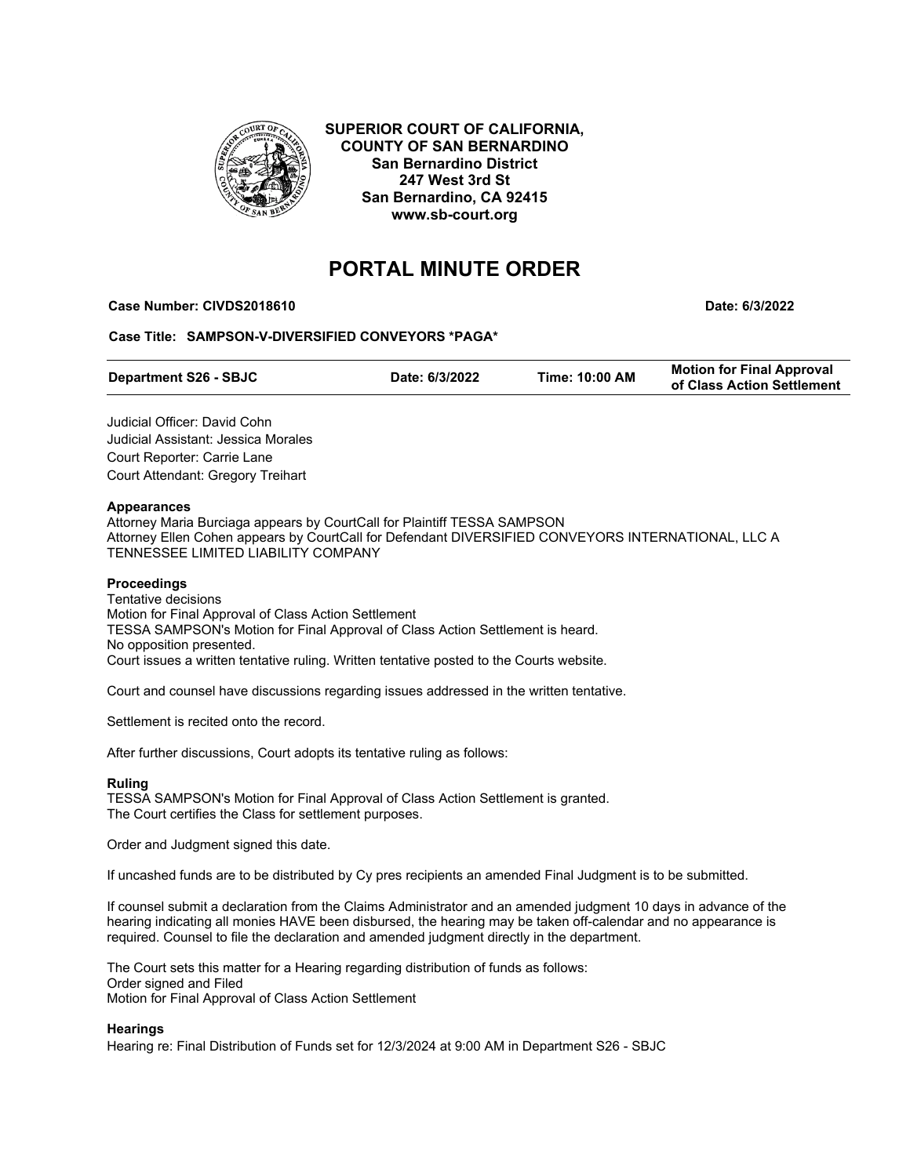

**SUPERIOR COURT OF CALIFORNIA, COUNTY OF SAN BERNARDINO San Bernardino District 247 West 3rd St San Bernardino, CA 92415 www.sb-court.org**

# **PORTAL MINUTE ORDER**

**Case Number: CIVDS2018610 Date: 6/3/2022**

**Case Title: SAMPSON-V-DIVERSIFIED CONVEYORS \*PAGA\***

| <b>Department S26 - SBJC</b><br>Date: 6/3/2022 | Time: 10:00 AM | <b>Motion for Final Approval</b><br>of Class Action Settlement |
|------------------------------------------------|----------------|----------------------------------------------------------------|
|------------------------------------------------|----------------|----------------------------------------------------------------|

Judicial Officer: David Cohn Judicial Assistant: Jessica Morales Court Reporter: Carrie Lane Court Attendant: Gregory Treihart

### **Appearances**

Attorney Maria Burciaga appears by CourtCall for Plaintiff TESSA SAMPSON Attorney Ellen Cohen appears by CourtCall for Defendant DIVERSIFIED CONVEYORS INTERNATIONAL, LLC A TENNESSEE LIMITED LIABILITY COMPANY

## **Proceedings**

Tentative decisions Motion for Final Approval of Class Action Settlement TESSA SAMPSON's Motion for Final Approval of Class Action Settlement is heard. No opposition presented. Court issues a written tentative ruling. Written tentative posted to the Courts website.

Court and counsel have discussions regarding issues addressed in the written tentative.

Settlement is recited onto the record.

After further discussions, Court adopts its tentative ruling as follows:

### **Ruling**

TESSA SAMPSON's Motion for Final Approval of Class Action Settlement is granted. The Court certifies the Class for settlement purposes.

Order and Judgment signed this date.

If uncashed funds are to be distributed by Cy pres recipients an amended Final Judgment is to be submitted.

If counsel submit a declaration from the Claims Administrator and an amended judgment 10 days in advance of the hearing indicating all monies HAVE been disbursed, the hearing may be taken off-calendar and no appearance is required. Counsel to file the declaration and amended judgment directly in the department.

The Court sets this matter for a Hearing regarding distribution of funds as follows: Order signed and Filed Motion for Final Approval of Class Action Settlement

## **Hearings**

Hearing re: Final Distribution of Funds set for 12/3/2024 at 9:00 AM in Department S26 - SBJC